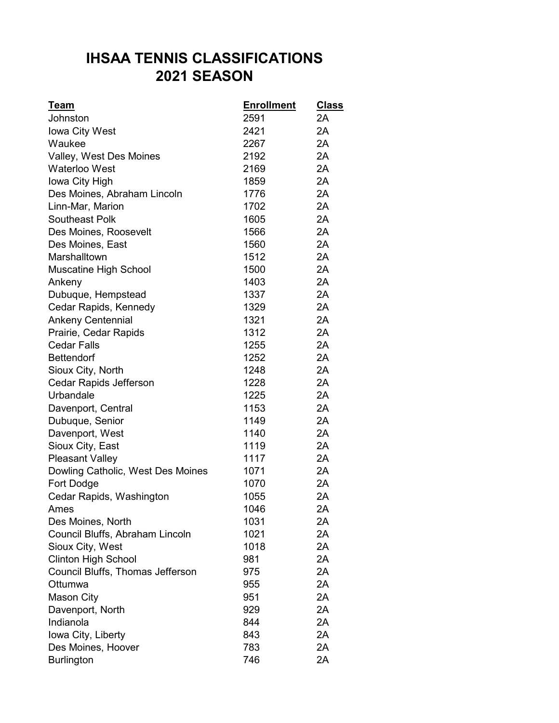## **IHSAA TENNIS CLASSIFICATIONS 2021 SEASON**

| <u>Team</u>                       | <b>Enrollment</b> | <b>Class</b> |
|-----------------------------------|-------------------|--------------|
| Johnston                          | 2591              | 2A           |
| Iowa City West                    | 2421              | 2A           |
| Waukee                            | 2267              | 2A           |
| Valley, West Des Moines           | 2192              | 2A           |
| <b>Waterloo West</b>              | 2169              | 2A           |
| Iowa City High                    | 1859              | 2A           |
| Des Moines, Abraham Lincoln       | 1776              | 2A           |
| Linn-Mar, Marion                  | 1702              | 2A           |
| Southeast Polk                    | 1605              | 2A           |
| Des Moines, Roosevelt             | 1566              | 2A           |
| Des Moines, East                  | 1560              | 2A           |
| Marshalltown                      | 1512              | 2A           |
| Muscatine High School             | 1500              | 2A           |
| Ankeny                            | 1403              | 2A           |
| Dubuque, Hempstead                | 1337              | 2A           |
| Cedar Rapids, Kennedy             | 1329              | 2A           |
| <b>Ankeny Centennial</b>          | 1321              | 2A           |
| Prairie, Cedar Rapids             | 1312              | 2A           |
| <b>Cedar Falls</b>                | 1255              | 2A           |
| <b>Bettendorf</b>                 | 1252              | 2A           |
| Sioux City, North                 | 1248              | 2A           |
| Cedar Rapids Jefferson            | 1228              | 2A           |
| Urbandale                         | 1225              | 2A           |
| Davenport, Central                | 1153              | 2A           |
| Dubuque, Senior                   | 1149              | 2A           |
| Davenport, West                   | 1140              | 2A           |
| Sioux City, East                  | 1119              | 2A           |
| <b>Pleasant Valley</b>            | 1117              | 2A           |
| Dowling Catholic, West Des Moines | 1071              | 2A           |
| Fort Dodge                        | 1070              | 2A           |
| Cedar Rapids, Washington          | 1055              | 2A           |
| Ames                              | 1046              | 2A           |
| Des Moines, North                 | 1031              | 2A           |
| Council Bluffs, Abraham Lincoln   | 1021              | 2A           |
| Sioux City, West                  | 1018              | 2A           |
| <b>Clinton High School</b>        | 981               | 2A           |
| Council Bluffs, Thomas Jefferson  | 975               | 2A           |
| Ottumwa                           | 955               | 2A           |
| <b>Mason City</b>                 | 951               | 2A           |
| Davenport, North                  | 929               | 2A           |
| Indianola                         | 844               | 2A           |
| Iowa City, Liberty                | 843               | 2A           |
| Des Moines, Hoover                | 783               | 2A           |
| <b>Burlington</b>                 | 746               | 2A           |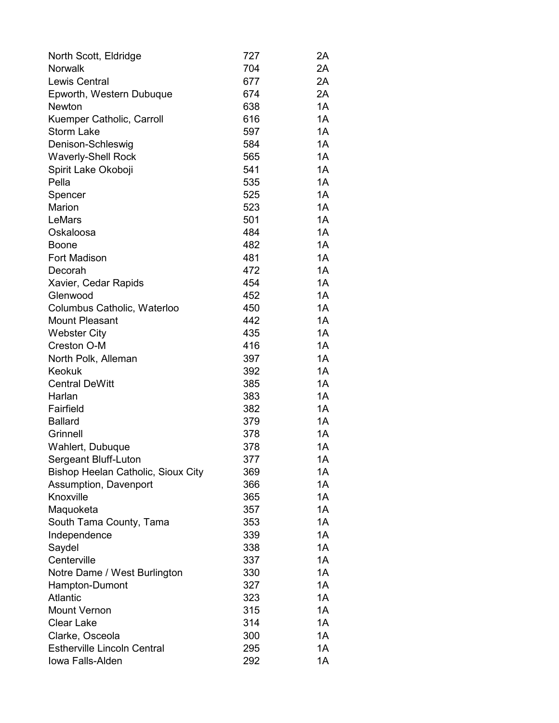| North Scott, Eldridge                     | 727 | 2Α |
|-------------------------------------------|-----|----|
| <b>Norwalk</b>                            | 704 | 2A |
| <b>Lewis Central</b>                      | 677 | 2A |
| Epworth, Western Dubuque                  | 674 | 2A |
| <b>Newton</b>                             | 638 | 1A |
| Kuemper Catholic, Carroll                 | 616 | 1A |
| <b>Storm Lake</b>                         | 597 | 1A |
| Denison-Schleswig                         | 584 | 1A |
| <b>Waverly-Shell Rock</b>                 | 565 | 1A |
| Spirit Lake Okoboji                       | 541 | 1A |
| Pella                                     | 535 | 1A |
| Spencer                                   | 525 | 1A |
| Marion                                    | 523 | 1A |
| LeMars                                    | 501 | 1A |
| Oskaloosa                                 | 484 | 1A |
| <b>Boone</b>                              | 482 | 1A |
| <b>Fort Madison</b>                       | 481 | 1A |
| Decorah                                   | 472 | 1A |
| Xavier, Cedar Rapids                      | 454 | 1A |
| Glenwood                                  | 452 | 1A |
| Columbus Catholic, Waterloo               | 450 | 1A |
| <b>Mount Pleasant</b>                     | 442 | 1A |
| <b>Webster City</b>                       | 435 | 1A |
| Creston O-M                               | 416 | 1A |
| North Polk, Alleman                       | 397 | 1A |
| <b>Keokuk</b>                             | 392 | 1A |
| <b>Central DeWitt</b>                     | 385 | 1A |
| Harlan                                    | 383 | 1A |
| Fairfield                                 | 382 | 1A |
| <b>Ballard</b>                            | 379 | 1A |
| Grinnell                                  | 378 | 1A |
| Wahlert, Dubuque                          | 378 | 1A |
| Sergeant Bluff-Luton                      | 377 | 1A |
| <b>Bishop Heelan Catholic, Sioux City</b> | 369 | 1A |
| Assumption, Davenport                     | 366 | 1A |
| Knoxville                                 | 365 | 1A |
| Maquoketa                                 | 357 | 1A |
| South Tama County, Tama                   | 353 | 1A |
| Independence                              | 339 | 1A |
| Saydel                                    | 338 | 1A |
| Centerville                               | 337 | 1A |
| Notre Dame / West Burlington              | 330 | 1A |
| Hampton-Dumont                            | 327 | 1A |
| <b>Atlantic</b>                           | 323 | 1A |
| <b>Mount Vernon</b>                       | 315 | 1A |
| <b>Clear Lake</b>                         | 314 | 1A |
| Clarke, Osceola                           | 300 | 1A |
| <b>Estherville Lincoln Central</b>        | 295 | 1A |
| Iowa Falls-Alden                          | 292 | 1A |